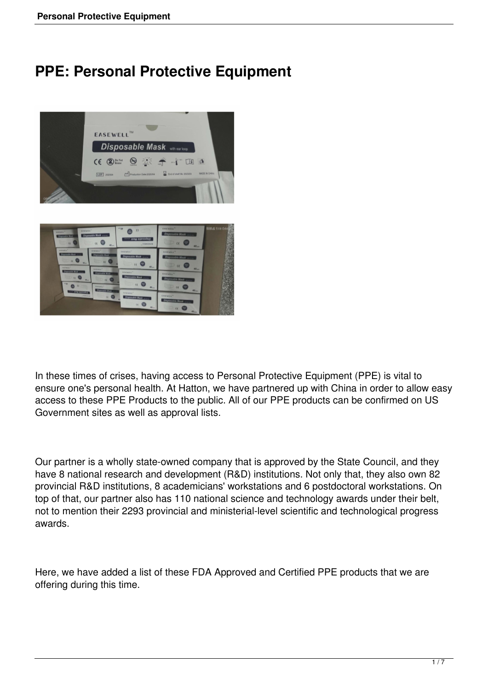# **PPE: Personal Protective Equipment**





In these times of crises, having access to Personal Protective Equipment (PPE) is vital to ensure one's personal health. At Hatton, we have partnered up with China in order to allow easy access to these PPE Products to the public. All of our PPE products can be confirmed on US Government sites as well as approval lists.

Our partner is a wholly state-owned company that is approved by the State Council, and they have 8 national research and development (R&D) institutions. Not only that, they also own 82 provincial R&D institutions, 8 academicians' workstations and 6 postdoctoral workstations. On top of that, our partner also has 110 national science and technology awards under their belt, not to mention their 2293 provincial and ministerial-level scientific and technological progress awards.

Here, we have added a list of these FDA Approved and Certified PPE products that we are offering during this time.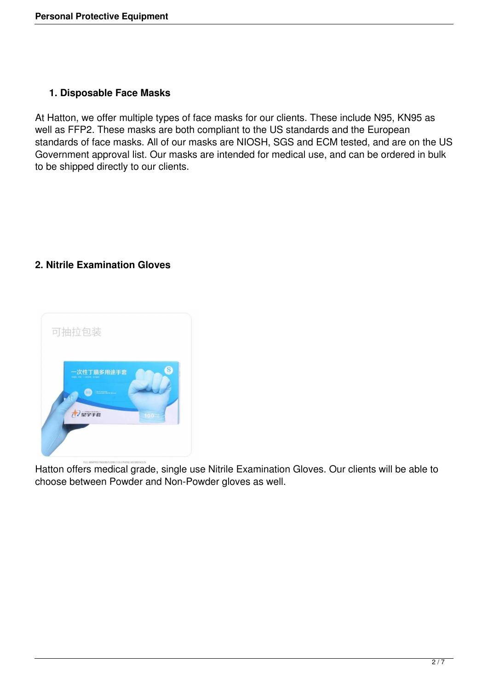## **1. Disposable Face Masks**

At Hatton, we offer multiple types of face masks for our clients. These include N95, KN95 as well as FFP2. These masks are both compliant to the US standards and the European standards of face masks. All of our masks are NIOSH, SGS and ECM tested, and are on the US Government approval list. Our masks are intended for medical use, and can be ordered in bulk to be shipped directly to our clients.

## **2. Nitrile Examination Gloves**



Hatton offers medical grade, single use Nitrile Examination Gloves. Our clients will be able to choose between Powder and Non-Powder gloves as well.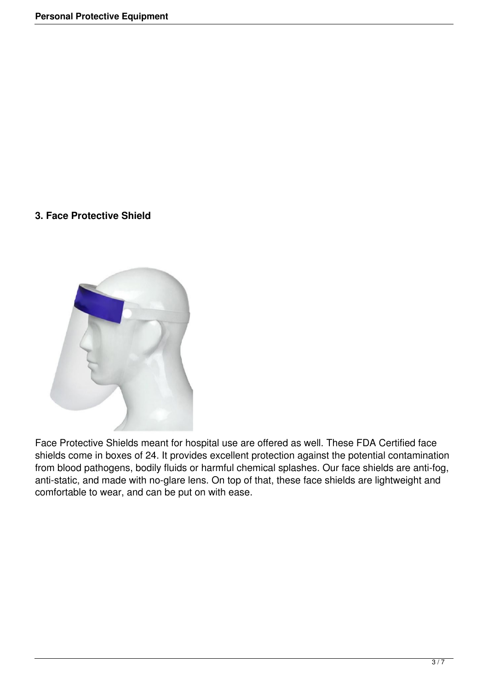#### **3. Face Protective Shield**



Face Protective Shields meant for hospital use are offered as well. These FDA Certified face shields come in boxes of 24. It provides excellent protection against the potential contamination from blood pathogens, bodily fluids or harmful chemical splashes. Our face shields are anti-fog, anti-static, and made with no-glare lens. On top of that, these face shields are lightweight and comfortable to wear, and can be put on with ease.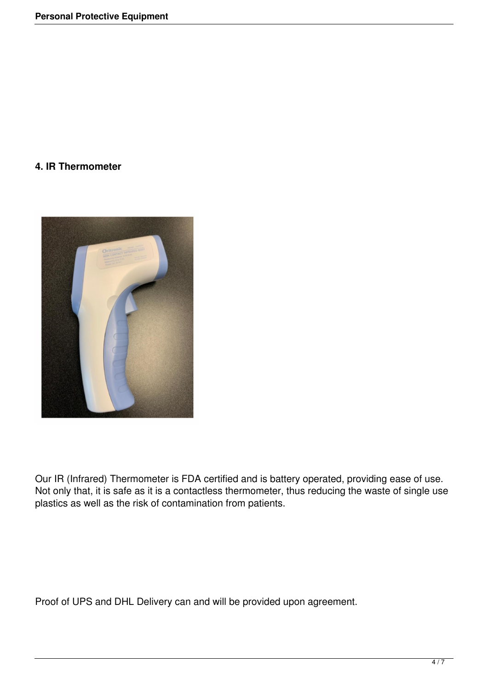### **4. IR Thermometer**



Our IR (Infrared) Thermometer is FDA certified and is battery operated, providing ease of use. Not only that, it is safe as it is a contactless thermometer, thus reducing the waste of single use plastics as well as the risk of contamination from patients.

Proof of UPS and DHL Delivery can and will be provided upon agreement.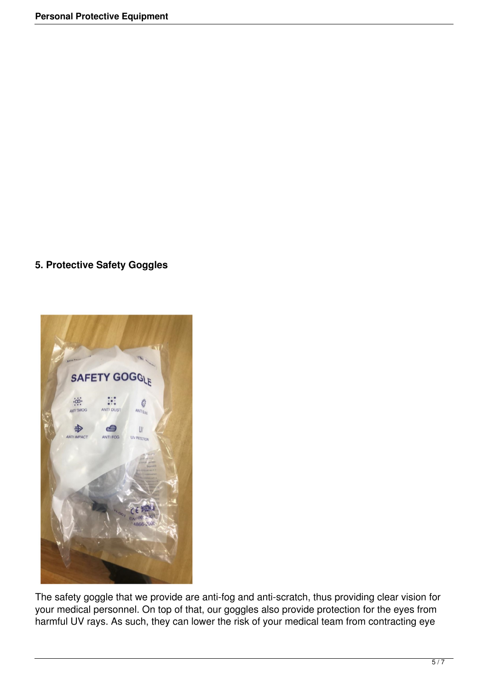## **5. Protective Safety Goggles**



The safety goggle that we provide are anti-fog and anti-scratch, thus providing clear vision for your medical personnel. On top of that, our goggles also provide protection for the eyes from harmful UV rays. As such, they can lower the risk of your medical team from contracting eye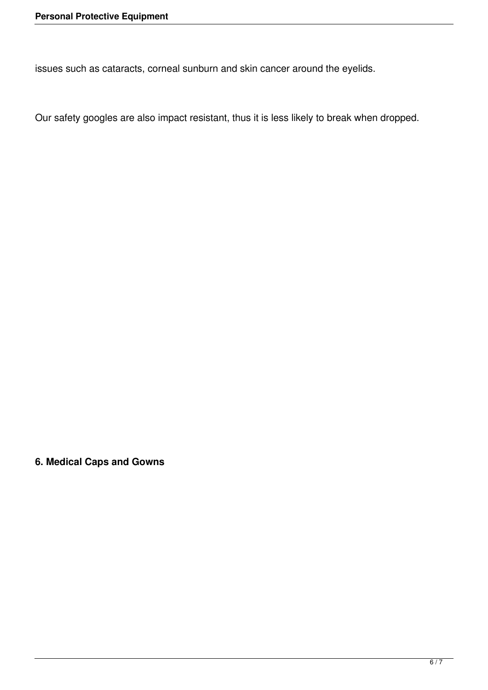issues such as cataracts, corneal sunburn and skin cancer around the eyelids.

Our safety googles are also impact resistant, thus it is less likely to break when dropped.

**6. Medical Caps and Gowns**